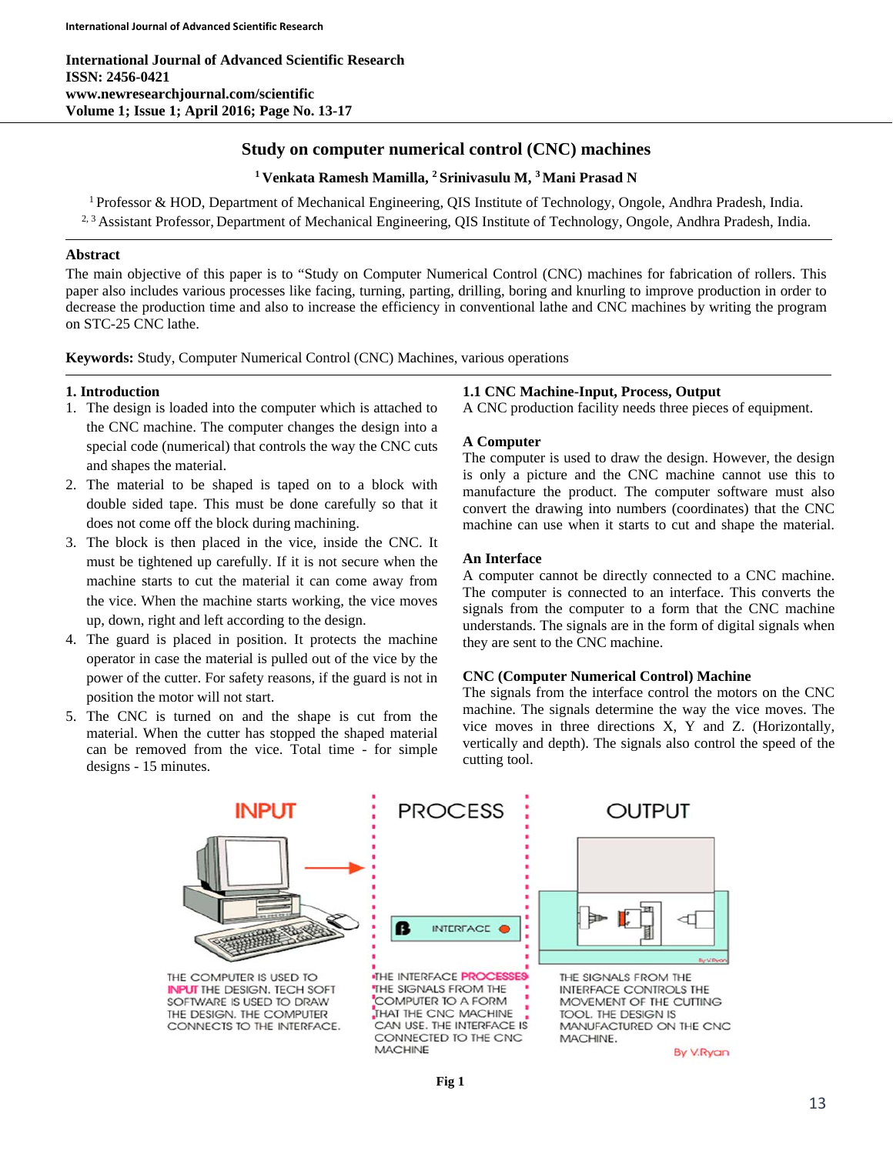**International Journal of Advanced Scientific Research ISSN: 2456-0421 www.newresearchjournal.com/scientific Volume 1; Issue 1; April 2016; Page No. 13-17** 

# **Study on computer numerical control (CNC) machines**

# **1 Venkata Ramesh Mamilla, 2 Srinivasulu M, 3 Mani Prasad N**

1 Professor & HOD, Department of Mechanical Engineering, QIS Institute of Technology, Ongole, Andhra Pradesh, India. <sup>2, 3</sup> Assistant Professor, Department of Mechanical Engineering, QIS Institute of Technology, Ongole, Andhra Pradesh, India.

# **Abstract**

The main objective of this paper is to "Study on Computer Numerical Control (CNC) machines for fabrication of rollers. This paper also includes various processes like facing, turning, parting, drilling, boring and knurling to improve production in order to decrease the production time and also to increase the efficiency in conventional lathe and CNC machines by writing the program on STC-25 CNC lathe.

**Keywords:** Study, Computer Numerical Control (CNC) Machines, various operations

# **1. Introduction**

- 1. The design is loaded into the computer which is attached to the CNC machine. The computer changes the design into a special code (numerical) that controls the way the CNC cuts and shapes the material.
- 2. The material to be shaped is taped on to a block with double sided tape. This must be done carefully so that it does not come off the block during machining.
- 3. The block is then placed in the vice, inside the CNC. It must be tightened up carefully. If it is not secure when the machine starts to cut the material it can come away from the vice. When the machine starts working, the vice moves up, down, right and left according to the design.
- 4. The guard is placed in position. It protects the machine operator in case the material is pulled out of the vice by the power of the cutter. For safety reasons, if the guard is not in position the motor will not start.
- 5. The CNC is turned on and the shape is cut from the material. When the cutter has stopped the shaped material can be removed from the vice. Total time - for simple designs - 15 minutes.

# **1.1 CNC Machine-Input, Process, Output**

A CNC production facility needs three pieces of equipment.

## **A Computer**

The computer is used to draw the design. However, the design is only a picture and the CNC machine cannot use this to manufacture the product. The computer software must also convert the drawing into numbers (coordinates) that the CNC machine can use when it starts to cut and shape the material.

### **An Interface**

A computer cannot be directly connected to a CNC machine. The computer is connected to an interface. This converts the signals from the computer to a form that the CNC machine understands. The signals are in the form of digital signals when they are sent to the CNC machine.

### **CNC (Computer Numerical Control) Machine**

The signals from the interface control the motors on the CNC machine. The signals determine the way the vice moves. The vice moves in three directions X, Y and Z. (Horizontally, vertically and depth). The signals also control the speed of the cutting tool.

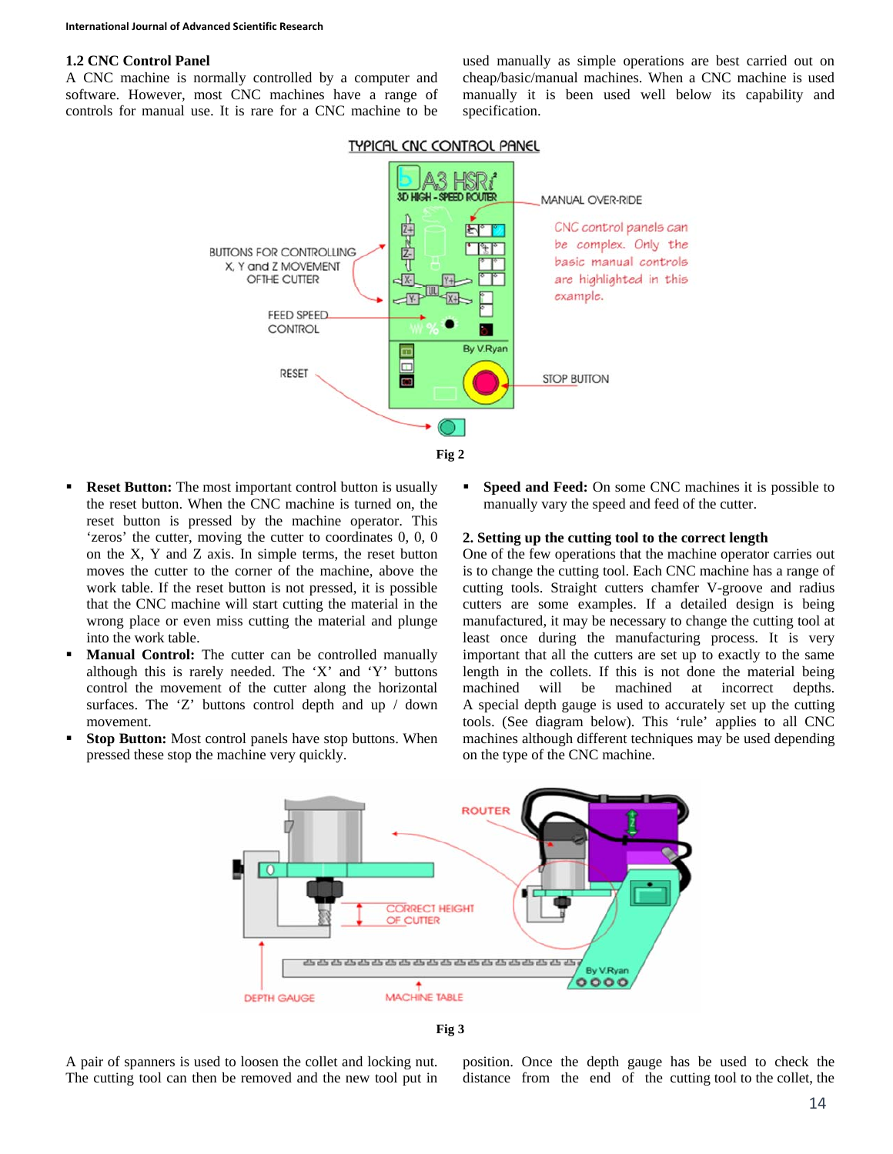#### **1.2 CNC Control Panel**

A CNC machine is normally controlled by a computer and software. However, most CNC machines have a range of controls for manual use. It is rare for a CNC machine to be

used manually as simple operations are best carried out on cheap/basic/manual machines. When a CNC machine is used manually it is been used well below its capability and specification.



- **Reset Button:** The most important control button is usually the reset button. When the CNC machine is turned on, the reset button is pressed by the machine operator. This 'zeros' the cutter, moving the cutter to coordinates 0, 0, 0 on the X, Y and Z axis. In simple terms, the reset button moves the cutter to the corner of the machine, above the work table. If the reset button is not pressed, it is possible that the CNC machine will start cutting the material in the wrong place or even miss cutting the material and plunge into the work table.
- **Manual Control:** The cutter can be controlled manually although this is rarely needed. The 'X' and 'Y' buttons control the movement of the cutter along the horizontal surfaces. The 'Z' buttons control depth and up / down movement.
- **Stop Button:** Most control panels have stop buttons. When pressed these stop the machine very quickly.

**Speed and Feed:** On some CNC machines it is possible to manually vary the speed and feed of the cutter.

#### **2. Setting up the cutting tool to the correct length**

One of the few operations that the machine operator carries out is to change the cutting tool. Each CNC machine has a range of cutting tools. Straight cutters chamfer V-groove and radius cutters are some examples. If a detailed design is being manufactured, it may be necessary to change the cutting tool at least once during the manufacturing process. It is very important that all the cutters are set up to exactly to the same length in the collets. If this is not done the material being machined will be machined at incorrect depths. A special depth gauge is used to accurately set up the cutting tools. (See diagram below). This 'rule' applies to all CNC machines although different techniques may be used depending on the type of the CNC machine.



**Fig 3** 

A pair of spanners is used to loosen the collet and locking nut. The cutting tool can then be removed and the new tool put in position. Once the depth gauge has be used to check the distance from the end of the cutting tool to the collet, the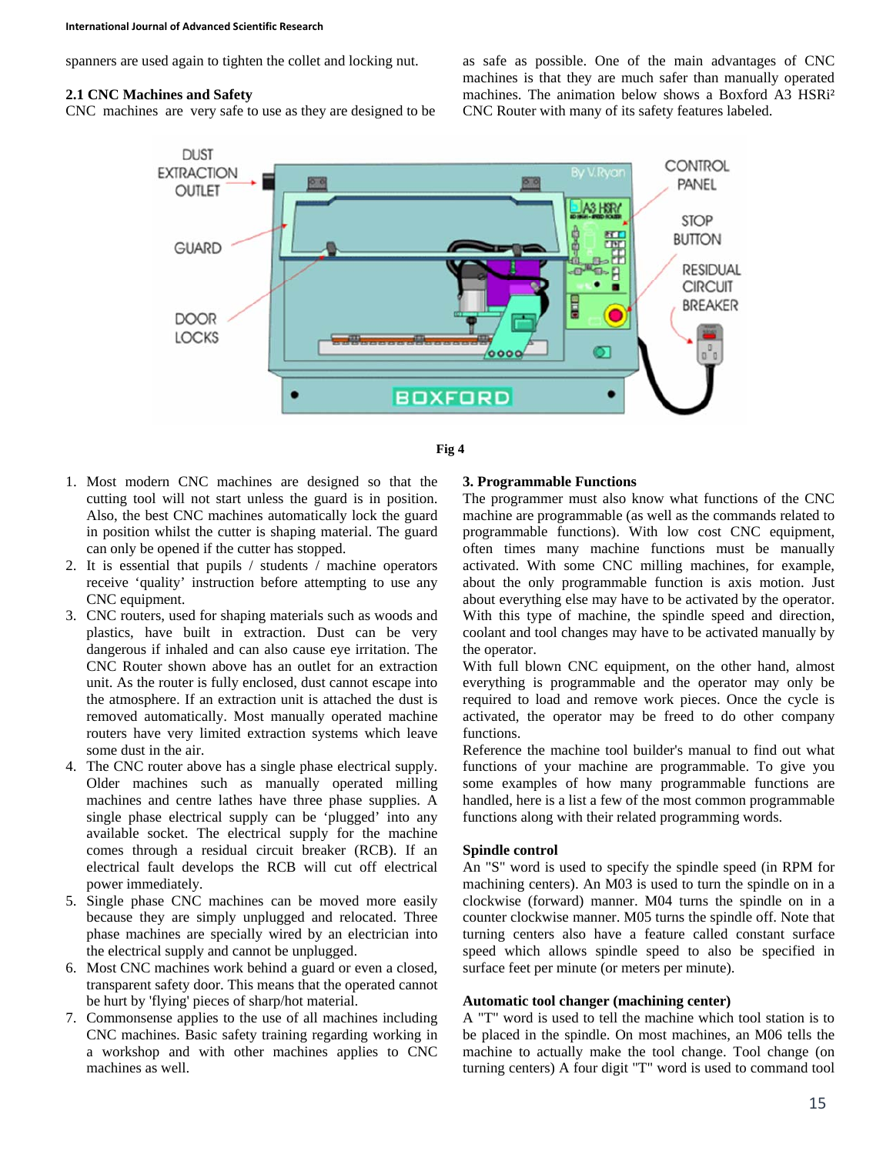spanners are used again to tighten the collet and locking nut.

#### **2.1 CNC Machines and Safety**

CNC machines are very safe to use as they are designed to be

as safe as possible. One of the main advantages of CNC machines is that they are much safer than manually operated machines. The animation below shows a Boxford A3 HSRi² CNC Router with many of its safety features labeled.





- 1. Most modern CNC machines are designed so that the cutting tool will not start unless the guard is in position. Also, the best CNC machines automatically lock the guard in position whilst the cutter is shaping material. The guard can only be opened if the cutter has stopped.
- 2. It is essential that pupils / students / machine operators receive 'quality' instruction before attempting to use any CNC equipment.
- 3. CNC routers, used for shaping materials such as woods and plastics, have built in extraction. Dust can be very dangerous if inhaled and can also cause eye irritation. The CNC Router shown above has an outlet for an extraction unit. As the router is fully enclosed, dust cannot escape into the atmosphere. If an extraction unit is attached the dust is removed automatically. Most manually operated machine routers have very limited extraction systems which leave some dust in the air.
- 4. The CNC router above has a single phase electrical supply. Older machines such as manually operated milling machines and centre lathes have three phase supplies. A single phase electrical supply can be 'plugged' into any available socket. The electrical supply for the machine comes through a residual circuit breaker (RCB). If an electrical fault develops the RCB will cut off electrical power immediately.
- 5. Single phase CNC machines can be moved more easily because they are simply unplugged and relocated. Three phase machines are specially wired by an electrician into the electrical supply and cannot be unplugged.
- 6. Most CNC machines work behind a guard or even a closed, transparent safety door. This means that the operated cannot be hurt by 'flying' pieces of sharp/hot material.
- 7. Commonsense applies to the use of all machines including CNC machines. Basic safety training regarding working in a workshop and with other machines applies to CNC machines as well.

#### **3. Programmable Functions**

The programmer must also know what functions of the CNC machine are programmable (as well as the commands related to programmable functions). With low cost CNC equipment, often times many machine functions must be manually activated. With some CNC milling machines, for example, about the only programmable function is axis motion. Just about everything else may have to be activated by the operator. With this type of machine, the spindle speed and direction, coolant and tool changes may have to be activated manually by the operator.

With full blown CNC equipment, on the other hand, almost everything is programmable and the operator may only be required to load and remove work pieces. Once the cycle is activated, the operator may be freed to do other company functions.

Reference the machine tool builder's manual to find out what functions of your machine are programmable. To give you some examples of how many programmable functions are handled, here is a list a few of the most common programmable functions along with their related programming words.

#### **Spindle control**

An "S" word is used to specify the spindle speed (in RPM for machining centers). An M03 is used to turn the spindle on in a clockwise (forward) manner. M04 turns the spindle on in a counter clockwise manner. M05 turns the spindle off. Note that turning centers also have a feature called constant surface speed which allows spindle speed to also be specified in surface feet per minute (or meters per minute).

### **Automatic tool changer (machining center)**

A "T" word is used to tell the machine which tool station is to be placed in the spindle. On most machines, an M06 tells the machine to actually make the tool change. Tool change (on turning centers) A four digit "T" word is used to command tool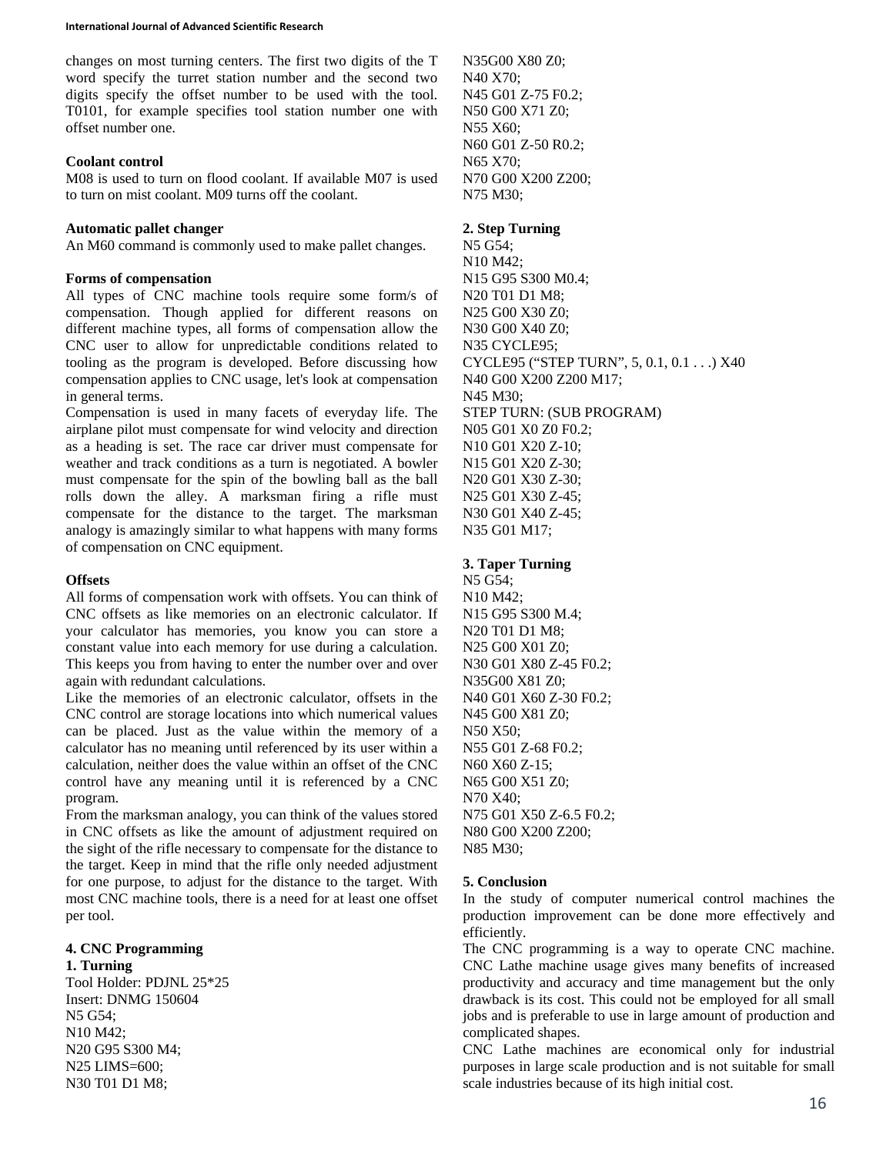changes on most turning centers. The first two digits of the T word specify the turret station number and the second two digits specify the offset number to be used with the tool. T0101, for example specifies tool station number one with offset number one.

#### **Coolant control**

M08 is used to turn on flood coolant. If available M07 is used to turn on mist coolant. M09 turns off the coolant.

### **Automatic pallet changer**

An M60 command is commonly used to make pallet changes.

### **Forms of compensation**

All types of CNC machine tools require some form/s of compensation. Though applied for different reasons on different machine types, all forms of compensation allow the CNC user to allow for unpredictable conditions related to tooling as the program is developed. Before discussing how compensation applies to CNC usage, let's look at compensation in general terms.

Compensation is used in many facets of everyday life. The airplane pilot must compensate for wind velocity and direction as a heading is set. The race car driver must compensate for weather and track conditions as a turn is negotiated. A bowler must compensate for the spin of the bowling ball as the ball rolls down the alley. A marksman firing a rifle must compensate for the distance to the target. The marksman analogy is amazingly similar to what happens with many forms of compensation on CNC equipment.

### **Offsets**

All forms of compensation work with offsets. You can think of CNC offsets as like memories on an electronic calculator. If your calculator has memories, you know you can store a constant value into each memory for use during a calculation. This keeps you from having to enter the number over and over again with redundant calculations.

Like the memories of an electronic calculator, offsets in the CNC control are storage locations into which numerical values can be placed. Just as the value within the memory of a calculator has no meaning until referenced by its user within a calculation, neither does the value within an offset of the CNC control have any meaning until it is referenced by a CNC program.

From the marksman analogy, you can think of the values stored in CNC offsets as like the amount of adjustment required on the sight of the rifle necessary to compensate for the distance to the target. Keep in mind that the rifle only needed adjustment for one purpose, to adjust for the distance to the target. With most CNC machine tools, there is a need for at least one offset per tool.

# **4. CNC Programming**

**1. Turning**  Tool Holder: PDJNL 25\*25 Insert: DNMG 150604 N5 G54; N10 M42; N20 G95 S300 M4; N25 LIMS=600; N30 T01 D1 M8;

N35G00 X80 Z0; N40 X70; N45 G01 Z-75 F0.2; N50 G00 X71 Z0; N55 X60; N60 G01 Z-50 R0.2; N65 X70; N70 G00 X200 Z200; N75 M30;

### **2. Step Turning**

N5 G54; N10 M42; N15 G95 S300 M0.4; N20 T01 D1 M8; N25 G00 X30 Z0; N30 G00 X40 Z0; N35 CYCLE95; CYCLE95 ("STEP TURN", 5, 0.1, 0.1 . . .) X40 N40 G00 X200 Z200 M17; N45 M30; STEP TURN: (SUB PROGRAM) N05 G01 X0 Z0 F0.2; N10 G01 X20 Z-10; N15 G01 X20 Z-30; N20 G01 X30 Z-30; N25 G01 X30 Z-45; N30 G01 X40 Z-45; N35 G01 M17;

### **3. Taper Turning**

N5 G54; N10 M42; N15 G95 S300 M.4; N20 T01 D1 M8; N25 G00 X01 Z0; N30 G01 X80 Z-45 F0.2; N35G00 X81 Z0; N40 G01 X60 Z-30 F0.2; N45 G00 X81 Z0; N50 X50; N55 G01 Z-68 F0.2; N60 X60 Z-15; N65 G00 X51 Z0; N70 X40; N75 G01 X50 Z-6.5 F0.2; N80 G00 X200 Z200; N85 M30;

### **5. Conclusion**

In the study of computer numerical control machines the production improvement can be done more effectively and efficiently.

The CNC programming is a way to operate CNC machine. CNC Lathe machine usage gives many benefits of increased productivity and accuracy and time management but the only drawback is its cost. This could not be employed for all small jobs and is preferable to use in large amount of production and complicated shapes.

CNC Lathe machines are economical only for industrial purposes in large scale production and is not suitable for small scale industries because of its high initial cost.